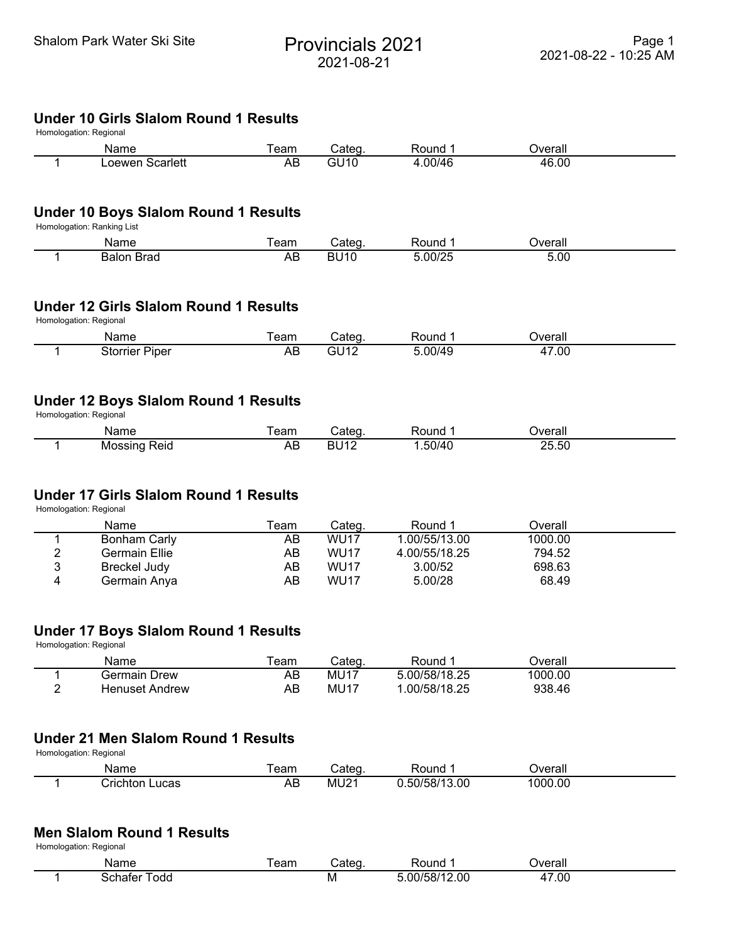# Shalom Park Water Ski Site<br>
Provincials 2021 2021-08-21

#### **Under 10 Girls Slalom Round 1 Results** Homologation: Regional

| i ivinvivyativni. I veyivnar |                 |     |              |        |         |  |  |  |
|------------------------------|-----------------|-----|--------------|--------|---------|--|--|--|
|                              | Name            | eam | ડated        | Round  | )∨erall |  |  |  |
|                              | ∟oewen Scarlett | AB  | <b>01110</b> | .00/46 | 46.00   |  |  |  |

### **Under 10 Boys Slalom Round 1 Results**

Homologation: Ranking List

| Name                | eam | ated       | ound:         | )verall   |  |
|---------------------|-----|------------|---------------|-----------|--|
| <b>Brad</b><br>Ralo | AB  | ١U<br>. ור | 5.00/25<br>אנ | -<br>5.00 |  |

### **Under 12 Girls Slalom Round 1 Results**

Homologation: Regional

| Name                          | eam | ntor | ound?                    | ס∨erall                         |  |
|-------------------------------|-----|------|--------------------------|---------------------------------|--|
| orrier<br><b>Piper</b><br>ుగో | mΡ  | ы.   | $\cap$ $\cap$ $\Delta$ . | .00<br>$\overline{\phantom{a}}$ |  |

### **Under 12 Boys Slalom Round 1 Results**

Homologation: Regional

| Name                                    | eam       |           | วนทด              | <b>T</b>           |  |
|-----------------------------------------|-----------|-----------|-------------------|--------------------|--|
| - MOS<br>keid<br>$ $ $- $ $- $ $- $ $-$ | л ⊨<br>mμ | 14 C<br>R | - -<br>.50/4<br>. | $ \sim$<br>51<br>. |  |

### **Under 17 Girls Slalom Round 1 Results**

Homologation: Regional

|   | Name          | ēam | .ateqش           | Round         | Dverall |  |
|---|---------------|-----|------------------|---------------|---------|--|
|   | Bonham Carly  | AB  | WU <sub>17</sub> | .00/55/13.00  | 1000.00 |  |
| າ | Germain Ellie | AB  | <b>WU17</b>      | 4.00/55/18.25 | 794.52  |  |
| 2 | Breckel Judy  | AB  | WU <sub>17</sub> | 3.00/52       | 698.63  |  |
| 4 | Germain Anya  | AB  | <b>WU17</b>      | 5.00/28       | 68.49   |  |

## **Under 17 Boys Slalom Round 1 Results**

Homologation: Regional

| Name                  | eam | Cateɑ            | Round         | )verall |  |
|-----------------------|-----|------------------|---------------|---------|--|
| Germain<br>Drew       | AB  | MU1 <sup>-</sup> | 5.00/58/18.25 | 1000.00 |  |
| <b>Henuset Andrew</b> | ΑB  | MU17             | .00/58/18.25  | 938.46  |  |

# **Under 21 Men Slalom Round 1 Results**

Homologation: Regional

| Name                 | eam       | oter          | Round               | <b>Verall</b> |  |
|----------------------|-----------|---------------|---------------------|---------------|--|
| 'rı∩l<br>ucas<br>TOI | ^ '<br>∼⊾ | MU21<br>_____ | 13.00<br>ואה<br>502 | .00<br>1000   |  |

### **Men Slalom Round 1 Results**

Homologation: Regional

| .<br>'vame | -----<br>ટતાા |   | .<br>uno        | $\sim$<br>rall  |
|------------|---------------|---|-----------------|-----------------|
| odo        |               | M | $\Omega$<br>וחר | .OC<br>-<br>___ |